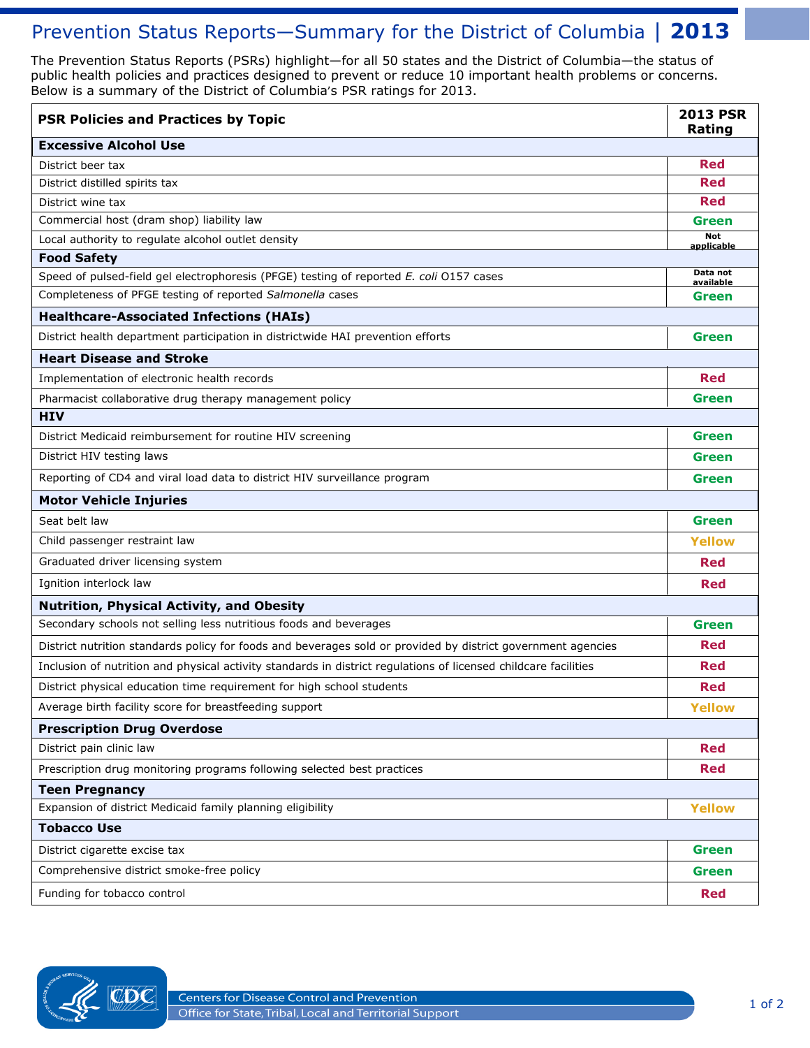## Prevention Status Reports-Summary for the District of Columbia | 2013

 The Prevention Status Reports (PSRs) highlight—for all 50 states and the District of Columbia—the status of public health policies and practices designed to prevent or reduce 10 important health problems or concerns. Below is a summary of the District of Columbia's PSR ratings for 2013.

| <b>PSR Policies and Practices by Topic</b>                                                                      | <b>2013 PSR</b><br>Rating |  |
|-----------------------------------------------------------------------------------------------------------------|---------------------------|--|
| <b>Excessive Alcohol Use</b>                                                                                    |                           |  |
| District beer tax                                                                                               | <b>Red</b>                |  |
| District distilled spirits tax                                                                                  |                           |  |
| District wine tax                                                                                               |                           |  |
| Commercial host (dram shop) liability law                                                                       | Green                     |  |
| Local authority to regulate alcohol outlet density                                                              | <b>Not</b><br>applicable  |  |
| <b>Food Safety</b>                                                                                              |                           |  |
| Speed of pulsed-field gel electrophoresis (PFGE) testing of reported E. coli 0157 cases                         | Data not<br>available     |  |
| Completeness of PFGE testing of reported Salmonella cases                                                       | Green                     |  |
| <b>Healthcare-Associated Infections (HAIs)</b>                                                                  |                           |  |
| District health department participation in districtwide HAI prevention efforts                                 | <b>Green</b>              |  |
| <b>Heart Disease and Stroke</b>                                                                                 |                           |  |
| Implementation of electronic health records                                                                     | <b>Red</b>                |  |
| Pharmacist collaborative drug therapy management policy                                                         | Green                     |  |
| <b>HIV</b>                                                                                                      |                           |  |
| District Medicaid reimbursement for routine HIV screening                                                       | <b>Green</b>              |  |
| District HIV testing laws                                                                                       | <b>Green</b>              |  |
| Reporting of CD4 and viral load data to district HIV surveillance program                                       | <b>Green</b>              |  |
| <b>Motor Vehicle Injuries</b>                                                                                   |                           |  |
| Seat belt law                                                                                                   | <b>Green</b>              |  |
| Child passenger restraint law                                                                                   | <b>Yellow</b>             |  |
| Graduated driver licensing system                                                                               | <b>Red</b>                |  |
| Ignition interlock law                                                                                          | <b>Red</b>                |  |
| Nutrition, Physical Activity, and Obesity                                                                       |                           |  |
| Secondary schools not selling less nutritious foods and beverages                                               | <b>Green</b>              |  |
| District nutrition standards policy for foods and beverages sold or provided by district government agencies    | Red                       |  |
| Inclusion of nutrition and physical activity standards in district regulations of licensed childcare facilities | Red                       |  |
| District physical education time requirement for high school students                                           | <b>Red</b>                |  |
| Average birth facility score for breastfeeding support                                                          | <b>Yellow</b>             |  |
| <b>Prescription Drug Overdose</b>                                                                               |                           |  |
| District pain clinic law                                                                                        | <b>Red</b>                |  |
| Prescription drug monitoring programs following selected best practices                                         | Red                       |  |
| <b>Teen Pregnancy</b>                                                                                           |                           |  |
| Expansion of district Medicaid family planning eligibility                                                      | <b>Yellow</b>             |  |
| <b>Tobacco Use</b>                                                                                              |                           |  |
| District cigarette excise tax                                                                                   | <b>Green</b>              |  |
| Comprehensive district smoke-free policy                                                                        |                           |  |
| Funding for tobacco control                                                                                     | <b>Red</b>                |  |